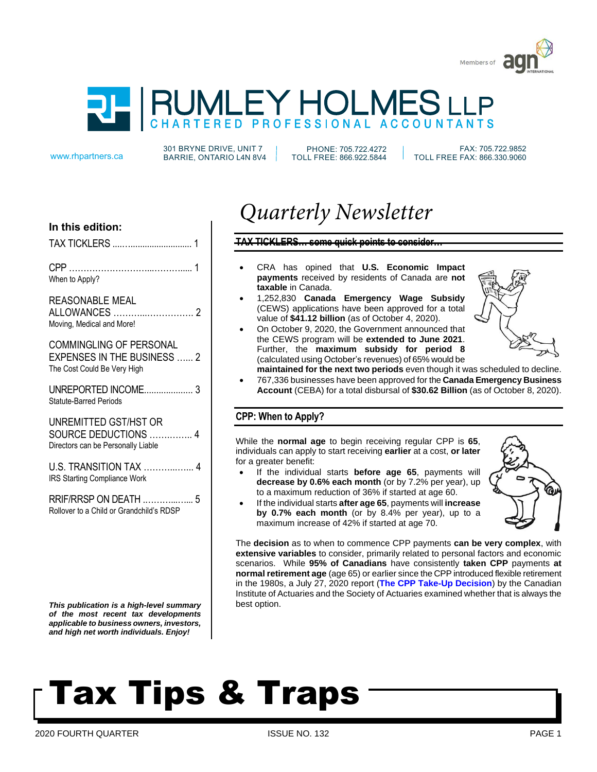



301 BRYNE DRIVE, UNIT 7 www.rhpartners.ca BARRIE, ONTARIO L4N 8V4

PHONE: 705.722.4272 TOLL FREE: 866.922.5844

 FAX: 705.722.9852 TOLL FREE FAX: 866.330.9060

#### **In this edition:**

| TAX TICKLERS |  |
|--------------|--|
|              |  |

CPP ………………………...………..... 1 When to Apply?

#### REASONABLE MEAL

ALLOWANCES ………...……………. 2 Moving, Medical and More!

COMMINGLING OF PERSONAL EXPENSES IN THE BUSINESS ...... 2 The Cost Could Be Very High

UNREPORTED INCOME.................... 3 Statute-Barred Periods

UNREMITTED GST/HST OR SOURCE DEDUCTIONS …….…….. 4 Directors can be Personally Liable

U.S. TRANSITION TAX ………...…... 4 IRS Starting Compliance Work

RRIF/RRSP ON DEATH .………...…... 5 Rollover to a Child or Grandchild's RDSP

*This publication is a high-level summary of the most recent tax developments applicable to business owners, investors, and high net worth individuals. Enjoy!*

### *Quarterly Newsletter*

#### **TAX TICKLERS… some quick points to consider…**

- CRA has opined that **U.S. Economic Impact payments** received by residents of Canada are **not taxable** in Canada.
- 1,252,830 **Canada Emergency Wage Subsidy** (CEWS) applications have been approved for a total value of **\$41.12 billion** (as of October 4, 2020).
- On October 9, 2020, the Government announced that the CEWS program will be **extended to June 2021**. Further, the **maximum subsidy for period 8** (calculated using October's revenues) of 65% would be



**maintained for the next two periods** even though it was scheduled to decline. • 767,336 businesses have been approved for the **Canada Emergency Business Account** (CEBA) for a total disbursal of **\$30.62 Billion** (as of October 8, 2020).

#### **CPP: When to Apply?**

While the **normal age** to begin receiving regular CPP is **65**, individuals can apply to start receiving **earlier** at a cost, **or later** for a greater benefit:

- If the individual starts **before age 65**, payments will **decrease by 0.6% each month** (or by 7.2% per year), up to a maximum reduction of 36% if started at age 60.
- If the individual starts **after age 65**, payments will **increase by 0.7% each month** (or by 8.4% per year), up to a maximum increase of 42% if started at age 70.



The **decision** as to when to commence CPP payments **can be very complex**, with **extensive variables** to consider, primarily related to personal factors and economic scenarios. While **95% of Canadians** have consistently **taken CPP** payments **at normal retirement age** (age 65) or earlier since the CPP introduced flexible retirement in the 1980s, a July 27, 2020 report (**The CPP Take-Up Decision**) by the Canadian Institute of Actuaries and the Society of Actuaries examined whether that is always the best option.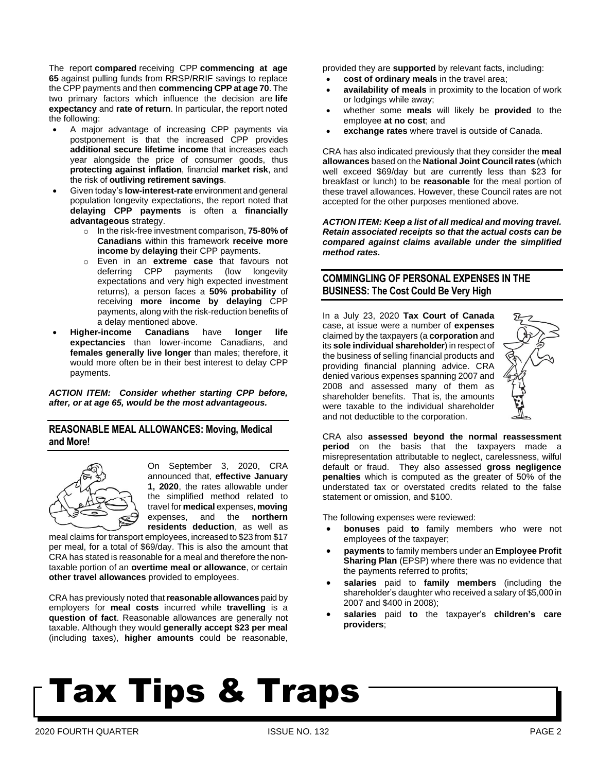The report **compared** receiving CPP **commencing at age 65** against pulling funds from RRSP/RRIF savings to replace the CPP payments and then **commencing CPP at age 70**. The two primary factors which influence the decision are **life expectancy** and **rate of return**. In particular, the report noted the following:

- A major advantage of increasing CPP payments via postponement is that the increased CPP provides **additional secure lifetime income** that increases each year alongside the price of consumer goods, thus **protecting against inflation**, financial **market risk**, and the risk of **outliving retirement savings**.
- Given today's **low-interest-rate** environment and general population longevity expectations, the report noted that **delaying CPP payments** is often a **financially advantageous** strategy.
	- o In the risk-free investment comparison, **75-80% of Canadians** within this framework **receive more income** by **delaying** their CPP payments.
	- o Even in an **extreme case** that favours not deferring CPP payments (low longevity expectations and very high expected investment returns), a person faces a **50% probability** of receiving **more income by delaying** CPP payments, along with the risk-reduction benefits of a delay mentioned above.
- **Higher-income Canadians** have **longer life expectancies** than lower-income Canadians, and **females generally live longer** than males; therefore, it would more often be in their best interest to delay CPP payments.

*ACTION ITEM: Consider whether starting CPP before, after, or at age 65, would be the most advantageous.* 

#### **REASONABLE MEAL ALLOWANCES: Moving, Medical and More!**



On September 3, 2020, CRA announced that, **effective January 1, 2020**, the rates allowable under the simplified method related to travel for **medical** expenses, **moving** expenses, and the **northern residents deduction**, as well as

meal claims for transport employees, increased to \$23 from \$17 per meal, for a total of \$69/day. This is also the amount that CRA has stated is reasonable for a meal and therefore the nontaxable portion of an **overtime meal or allowance**, or certain **other travel allowances** provided to employees.

CRA has previously noted that**reasonable allowances** paid by employers for **meal costs** incurred while **travelling** is a **question of fact**. Reasonable allowances are generally not taxable. Although they would **generally accept \$23 per meal** (including taxes), **higher amounts** could be reasonable,

provided they are **supported** by relevant facts, including:

- **cost of ordinary meals** in the travel area;
- **availability of meals** in proximity to the location of work or lodgings while away;
- whether some **meals** will likely be **provided** to the employee **at no cost**; and
- **exchange rates** where travel is outside of Canada.

CRA has also indicated previously that they consider the **meal allowances** based on the **National Joint Councilrates** (which well exceed \$69/day but are currently less than \$23 for breakfast or lunch) to be **reasonable** for the meal portion of these travel allowances. However, these Council rates are not accepted for the other purposes mentioned above.

*ACTION ITEM: Keep a list of all medical and moving travel. Retain associated receipts so that the actual costs can be compared against claims available under the simplified method rates.*

#### **COMMINGLING OF PERSONAL EXPENSES IN THE BUSINESS: The Cost Could Be Very High**

In a July 23, 2020 **Tax Court of Canada** case, at issue were a number of **expenses** claimed by the taxpayers (a **corporation** and its **sole individual shareholder**) in respect of the business of selling financial products and providing financial planning advice. CRA denied various expenses spanning 2007 and 2008 and assessed many of them as shareholder benefits. That is, the amounts were taxable to the individual shareholder and not deductible to the corporation.



CRA also **assessed beyond the normal reassessment period** on the basis that the taxpayers made a misrepresentation attributable to neglect, carelessness, wilful default or fraud. They also assessed **gross negligence penalties** which is computed as the greater of 50% of the understated tax or overstated credits related to the false statement or omission, and \$100.

The following expenses were reviewed:

- **bonuses** paid **to** family members who were not employees of the taxpayer;
- **payments** to family members under an **Employee Profit Sharing Plan** (EPSP) where there was no evidence that the payments referred to profits;
- **salaries** paid to **family members** (including the shareholder's daughter who received a salary of \$5,000 in 2007 and \$400 in 2008);
- **salaries** paid **to** the taxpayer's **children's care providers**;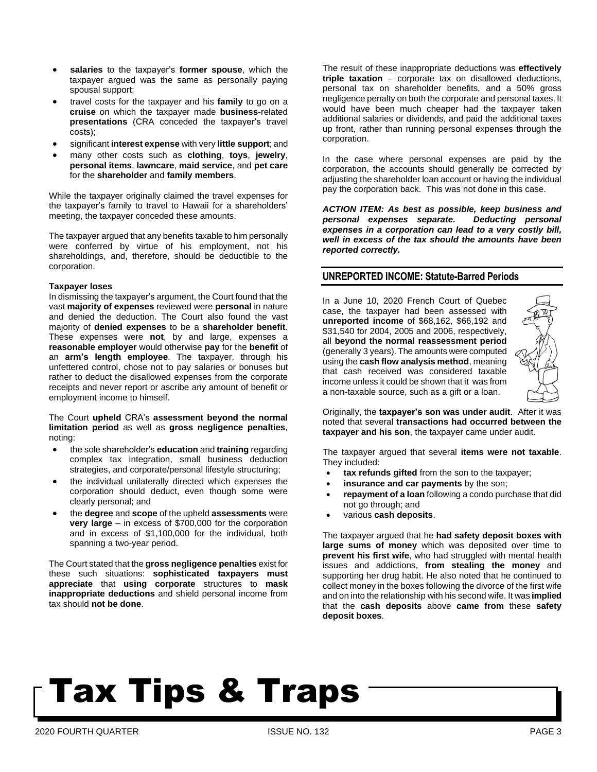- **salaries** to the taxpayer's **former spouse**, which the taxpayer argued was the same as personally paying spousal support;
- travel costs for the taxpayer and his **family** to go on a **cruise** on which the taxpayer made **business**-related **presentations** (CRA conceded the taxpayer's travel costs);
- significant **interest expense** with very **little support**; and
- many other costs such as **clothing**, **toys**, **jewelry**, **personal items**, **lawncare**, **maid service**, and **pet care** for the **shareholder** and **family members**.

While the taxpayer originally claimed the travel expenses for the taxpayer's family to travel to Hawaii for a shareholders' meeting, the taxpayer conceded these amounts.

The taxpayer argued that any benefits taxable to him personally were conferred by virtue of his employment, not his shareholdings, and, therefore, should be deductible to the corporation.

#### **Taxpayer loses**

In dismissing the taxpayer's argument, the Court found that the vast **majority of expenses** reviewed were **personal** in nature and denied the deduction. The Court also found the vast majority of **denied expenses** to be a **shareholder benefit**. These expenses were **not**, by and large, expenses a **reasonable employer** would otherwise **pay** for the **benefit** of an **arm's length employee**. The taxpayer, through his unfettered control, chose not to pay salaries or bonuses but rather to deduct the disallowed expenses from the corporate receipts and never report or ascribe any amount of benefit or employment income to himself.

The Court **upheld** CRA's **assessment beyond the normal limitation period** as well as **gross negligence penalties**, noting:

- the sole shareholder's **education** and **training** regarding complex tax integration, small business deduction strategies, and corporate/personal lifestyle structuring;
- the individual unilaterally directed which expenses the corporation should deduct, even though some were clearly personal; and
- the **degree** and **scope** of the upheld **assessments** were **very large** – in excess of \$700,000 for the corporation and in excess of \$1,100,000 for the individual, both spanning a two-year period.

The Court stated that the **gross negligence penalties** exist for these such situations: **sophisticated taxpayers must appreciate** that **using corporate** structures to **mask inappropriate deductions** and shield personal income from tax should **not be done**.

The result of these inappropriate deductions was **effectively triple taxation** – corporate tax on disallowed deductions, personal tax on shareholder benefits, and a 50% gross negligence penalty on both the corporate and personal taxes. It would have been much cheaper had the taxpayer taken additional salaries or dividends, and paid the additional taxes up front, rather than running personal expenses through the corporation.

In the case where personal expenses are paid by the corporation, the accounts should generally be corrected by adjusting the shareholder loan account or having the individual pay the corporation back. This was not done in this case.

*ACTION ITEM: As best as possible, keep business and personal expenses separate. Deducting personal expenses in a corporation can lead to a very costly bill, well in excess of the tax should the amounts have been reported correctly.* 

#### **UNREPORTED INCOME: Statute-Barred Periods**

In a June 10, 2020 French Court of Quebec case, the taxpayer had been assessed with **unreported income** of \$68,162, \$66,192 and \$31,540 for 2004, 2005 and 2006, respectively, all **beyond the normal reassessment period** (generally 3 years). The amounts were computed using the **cash flow analysis method**, meaning that cash received was considered taxable income unless it could be shown that it was from a non-taxable source, such as a gift or a loan.



Originally, the **taxpayer's son was under audit**. After it was noted that several **transactions had occurred between the taxpayer and his son**, the taxpayer came under audit.

The taxpayer argued that several **items were not taxable**. They included:

- **tax refunds gifted** from the son to the taxpayer;
- **insurance and car payments** by the son;
- **repayment of a loan** following a condo purchase that did not go through; and
- various **cash deposits**.

The taxpayer argued that he **had safety deposit boxes with large sums of money** which was deposited over time to **prevent his first wife**, who had struggled with mental health issues and addictions, **from stealing the money** and supporting her drug habit. He also noted that he continued to collect money in the boxes following the divorce of the first wife and on into the relationship with his second wife. It was **implied** that the **cash deposits** above **came from** these **safety deposit boxes**.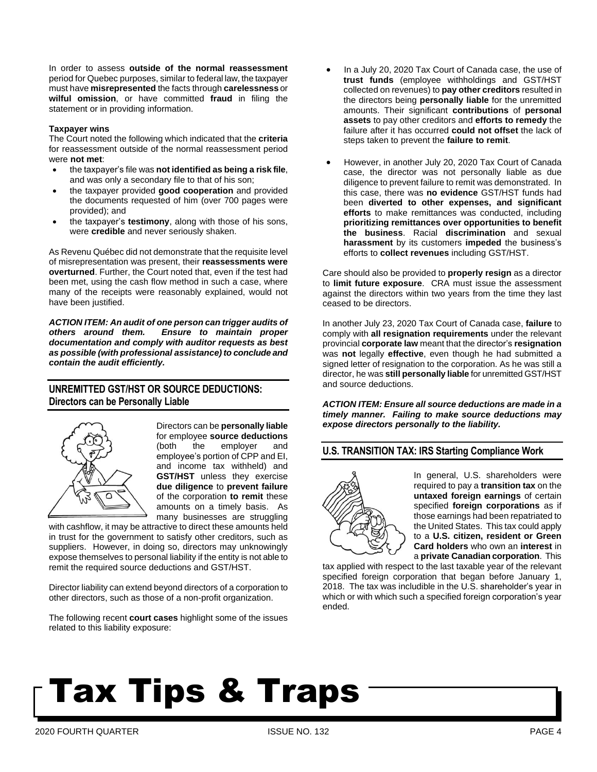In order to assess **outside of the normal reassessment** period for Quebec purposes, similar to federal law, the taxpayer must have **misrepresented** the facts through **carelessness** or **wilful omission**, or have committed **fraud** in filing the statement or in providing information.

#### **Taxpayer wins**

The Court noted the following which indicated that the **criteria** for reassessment outside of the normal reassessment period were **not met**:

- the taxpayer's file was **not identified as being a risk file**, and was only a secondary file to that of his son;
- the taxpayer provided **good cooperation** and provided the documents requested of him (over 700 pages were provided); and
- the taxpayer's **testimony**, along with those of his sons, were **credible** and never seriously shaken.

As Revenu Québec did not demonstrate that the requisite level of misrepresentation was present, their **reassessments were overturned**. Further, the Court noted that, even if the test had been met, using the cash flow method in such a case, where many of the receipts were reasonably explained, would not have been justified.

*ACTION ITEM: An audit of one person can trigger audits of others around them. Ensure to maintain proper documentation and comply with auditor requests as best as possible (with professional assistance) to conclude and contain the audit efficiently.*

#### **UNREMITTED GST/HST OR SOURCE DEDUCTIONS: Directors can be Personally Liable**



Directors can be **personally liable** for employee **source deductions** (both the employer and employee's portion of CPP and EI, and income tax withheld) and **GST/HST** unless they exercise **due diligence** to **prevent failure** of the corporation **to remit** these amounts on a timely basis. As many businesses are struggling

with cashflow, it may be attractive to direct these amounts held in trust for the government to satisfy other creditors, such as suppliers. However, in doing so, directors may unknowingly expose themselves to personal liability if the entity is not able to remit the required source deductions and GST/HST.

Director liability can extend beyond directors of a corporation to other directors, such as those of a non-profit organization.

The following recent **court cases** highlight some of the issues related to this liability exposure:

- In a July 20, 2020 Tax Court of Canada case, the use of **trust funds** (employee withholdings and GST/HST collected on revenues) to **pay other creditors** resulted in the directors being **personally liable** for the unremitted amounts. Their significant **contributions** of **personal assets** to pay other creditors and **efforts to remedy** the failure after it has occurred **could not offset** the lack of steps taken to prevent the **failure to remit**.
- However, in another July 20, 2020 Tax Court of Canada case, the director was not personally liable as due diligence to prevent failure to remit was demonstrated. In this case, there was **no evidence** GST/HST funds had been **diverted to other expenses, and significant efforts** to make remittances was conducted, including **prioritizing remittances over opportunities to benefit the business**. Racial **discrimination** and sexual **harassment** by its customers **impeded** the business's efforts to **collect revenues** including GST/HST.

Care should also be provided to **properly resign** as a director to **limit future exposure**. CRA must issue the assessment against the directors within two years from the time they last ceased to be directors.

In another July 23, 2020 Tax Court of Canada case, **failure** to comply with **all resignation requirements** under the relevant provincial **corporate law** meant that the director's **resignation** was **not** legally **effective**, even though he had submitted a signed letter of resignation to the corporation. As he was still a director, he was **still personally liable** for unremitted GST/HST and source deductions.

*ACTION ITEM: Ensure all source deductions are made in a timely manner. Failing to make source deductions may expose directors personally to the liability.*

#### **U.S. TRANSITION TAX: IRS Starting Compliance Work**



In general, U.S. shareholders were required to pay a **transition tax** on the **untaxed foreign earnings** of certain specified **foreign corporations** as if those earnings had been repatriated to the United States. This tax could apply to a **U.S. citizen, resident or Green Card holders** who own an **interest** in a **private Canadian corporation**. This

tax applied with respect to the last taxable year of the relevant specified foreign corporation that began before January 1, 2018. The tax was includible in the U.S. shareholder's year in which or with which such a specified foreign corporation's year ended.